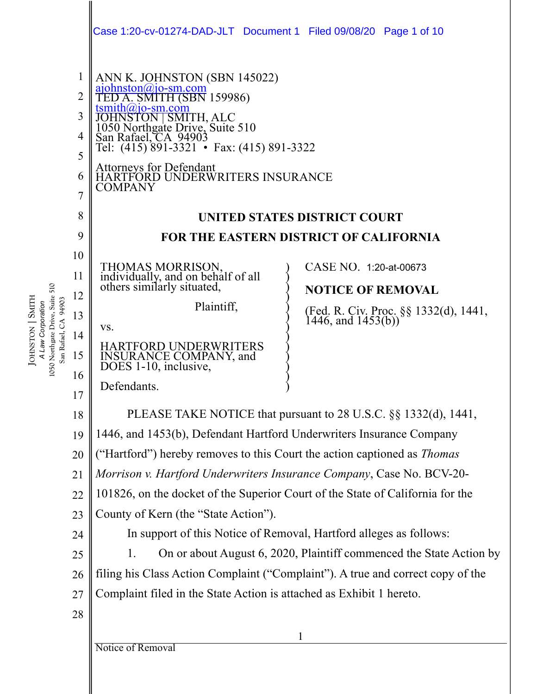|                                                                       |                     | Case 1:20-cv-01274-DAD-JLT Document 1 Filed 09/08/20 Page 1 of 10                                                                                                                                           |                                                          |  |
|-----------------------------------------------------------------------|---------------------|-------------------------------------------------------------------------------------------------------------------------------------------------------------------------------------------------------------|----------------------------------------------------------|--|
|                                                                       | 1                   | ANN K. JOHNSTON (SBN 145022)<br>ajohnston@jo-sm.com<br>TED A. SMITH (SBN 159986)                                                                                                                            |                                                          |  |
|                                                                       | $\overline{2}$      | $t smith@jo-sm.com$                                                                                                                                                                                         |                                                          |  |
|                                                                       | 3                   | JOHNSTON SMITH, ALC<br>1050 Northgate Drive, Suite 510<br>San Rafael, CA 94903<br>Tel: (415) 891-3321 • Fax: (415) 891-3322<br>Attorneys for Defendant<br>HARTFORD UNDERWRITERS INSURANCE<br><b>COMPANY</b> |                                                          |  |
|                                                                       | 4                   |                                                                                                                                                                                                             |                                                          |  |
|                                                                       | 5                   |                                                                                                                                                                                                             |                                                          |  |
|                                                                       | 6                   |                                                                                                                                                                                                             |                                                          |  |
|                                                                       | $\overline{7}$<br>8 |                                                                                                                                                                                                             |                                                          |  |
|                                                                       | 9                   | UNITED STATES DISTRICT COURT<br><b>FOR THE EASTERN DISTRICT OF CALIFORNIA</b>                                                                                                                               |                                                          |  |
|                                                                       | 10                  |                                                                                                                                                                                                             |                                                          |  |
|                                                                       | 11                  | THOMAS MORRISON,<br>individually, and on behalf of all<br>others similarly situated,                                                                                                                        | CASE NO. 1:20-at-00673                                   |  |
| 510                                                                   | 12                  |                                                                                                                                                                                                             | <b>NOTICE OF REMOVAL</b>                                 |  |
|                                                                       | 13                  | Plaintiff,                                                                                                                                                                                                  | (Fed. R. Civ. Proc. §§ 1332(d), 1441, 1446, and 1453(b)) |  |
| Law Corporation                                                       | 14                  | VS.                                                                                                                                                                                                         |                                                          |  |
| 1050 Northgate Drive, Suite<br>JOHNSTON SMITH<br>San Rafael, CA 94903 | 15                  | <b>HARTFORD UNDERWRITERS</b><br><b>INSURANCE COMPANY</b> , and<br>DOES 1-10, inclusive,                                                                                                                     |                                                          |  |
|                                                                       | 16                  | Defendants.                                                                                                                                                                                                 |                                                          |  |
|                                                                       | 17<br>18            |                                                                                                                                                                                                             |                                                          |  |
|                                                                       | 19                  | PLEASE TAKE NOTICE that pursuant to 28 U.S.C. §§ 1332(d), 1441,                                                                                                                                             |                                                          |  |
|                                                                       | 20                  | 1446, and 1453(b), Defendant Hartford Underwriters Insurance Company<br>("Hartford") hereby removes to this Court the action captioned as <i>Thomas</i>                                                     |                                                          |  |
|                                                                       | 21                  | Morrison v. Hartford Underwriters Insurance Company, Case No. BCV-20-                                                                                                                                       |                                                          |  |
|                                                                       | 22                  | 101826, on the docket of the Superior Court of the State of California for the                                                                                                                              |                                                          |  |
|                                                                       | 23                  | County of Kern (the "State Action").                                                                                                                                                                        |                                                          |  |
|                                                                       | 24                  | In support of this Notice of Removal, Hartford alleges as follows:                                                                                                                                          |                                                          |  |
|                                                                       | 25                  | On or about August 6, 2020, Plaintiff commenced the State Action by<br>1.                                                                                                                                   |                                                          |  |
|                                                                       | 26                  | filing his Class Action Complaint ("Complaint"). A true and correct copy of the                                                                                                                             |                                                          |  |
|                                                                       | 27                  | Complaint filed in the State Action is attached as Exhibit 1 hereto.                                                                                                                                        |                                                          |  |
|                                                                       | 28                  |                                                                                                                                                                                                             |                                                          |  |
|                                                                       |                     |                                                                                                                                                                                                             |                                                          |  |

Notice of Removal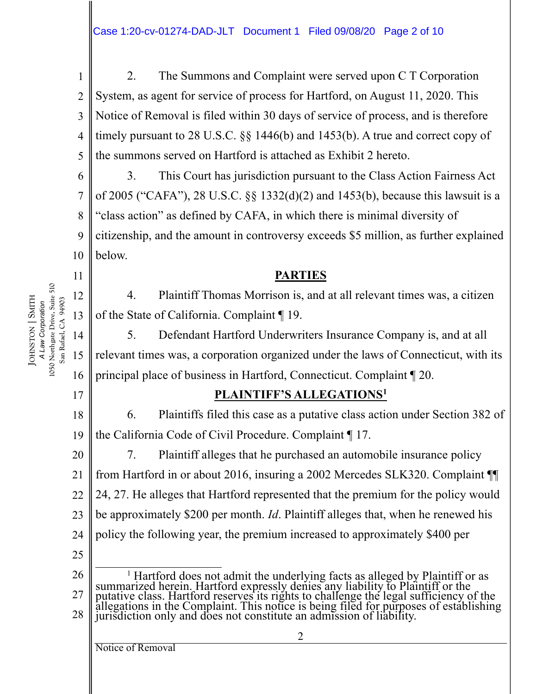1 2 3 4 5 2. The Summons and Complaint were served upon C T Corporation System, as agent for service of process for Hartford, on August 11, 2020. This Notice of Removal is filed within 30 days of service of process, and is therefore timely pursuant to 28 U.S.C. §§ 1446(b) and 1453(b). A true and correct copy of the summons served on Hartford is attached as Exhibit 2 hereto.

6 7 8 9 10 3. This Court has jurisdiction pursuant to the Class Action Fairness Act of 2005 ("CAFA"), 28 U.S.C. §§ 1332(d)(2) and 1453(b), because this lawsuit is a "class action" as defined by CAFA, in which there is minimal diversity of citizenship, and the amount in controversy exceeds \$5 million, as further explained below.

## **PARTIES**

4. Plaintiff Thomas Morrison is, and at all relevant times was, a citizen of the State of California. Complaint ¶ 19.

14 15 16 5. Defendant Hartford Underwriters Insurance Company is, and at all relevant times was, a corporation organized under the laws of Connecticut, with its principal place of business in Hartford, Connecticut. Complaint ¶ 20.

## **PLAINTIFF'S ALLEGATIONS1**

18 19 6. Plaintiffs filed this case as a putative class action under Section 382 of the California Code of Civil Procedure. Complaint ¶ 17.

20 21 22 23 24 7. Plaintiff alleges that he purchased an automobile insurance policy from Hartford in or about 2016, insuring a 2002 Mercedes SLK320. Complaint ¶¶ 24, 27. He alleges that Hartford represented that the premium for the policy would be approximately \$200 per month. *Id*. Plaintiff alleges that, when he renewed his policy the following year, the premium increased to approximately \$400 per

25

26 27 28 <sup>1</sup> Hartford does not admit the underlying facts as alleged by Plaintiff or as summarized herein. Hartford expressly denies any liability to Plaintiff or the putative class. Hartford reserves its rights to challenge the legal sufficiency of the allegations in the Complaint. This notice is being filed for purposes of establishing jurisdiction only and does not constitute an admission of liability.

2

### Notice of Removal

1050 Northgate Drive, Suite 510 1050 Northgate Drive, Suite 510 **SMITH** JOHNSTON | SMITH San Rafael, CA 94903 San Rafael, CA 94903 A Law Corporation *A Law Corporation*

11

12

13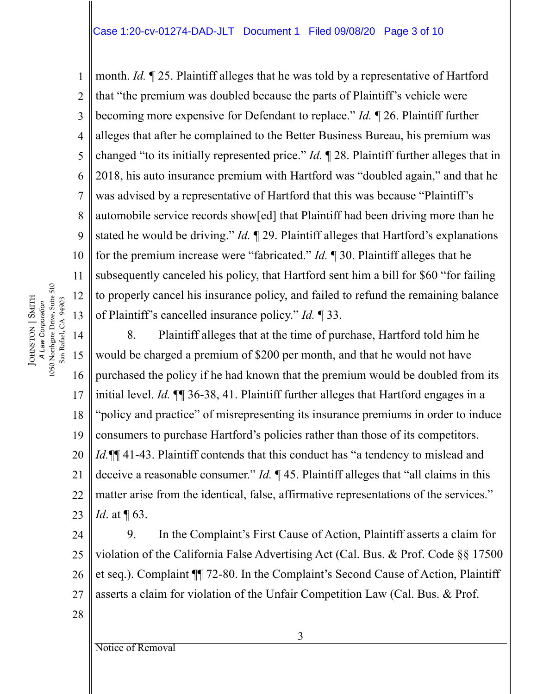1 2 3 4 5 6 7 8 9 10 11 month. *Id.* ¶ 25. Plaintiff alleges that he was told by a representative of Hartford that "the premium was doubled because the parts of Plaintiff's vehicle were becoming more expensive for Defendant to replace." *Id.* ¶ 26. Plaintiff further alleges that after he complained to the Better Business Bureau, his premium was changed "to its initially represented price." *Id.* ¶ 28. Plaintiff further alleges that in 2018, his auto insurance premium with Hartford was "doubled again," and that he was advised by a representative of Hartford that this was because "Plaintiff's automobile service records show[ed] that Plaintiff had been driving more than he stated he would be driving." *Id.* ¶ 29. Plaintiff alleges that Hartford's explanations for the premium increase were "fabricated." *Id.* ¶ 30. Plaintiff alleges that he subsequently canceled his policy, that Hartford sent him a bill for \$60 "for failing to properly cancel his insurance policy, and failed to refund the remaining balance of Plaintiff's cancelled insurance policy." *Id.* ¶ 33.

14 15 16 17 18 19 20 21 22 23 8. Plaintiff alleges that at the time of purchase, Hartford told him he would be charged a premium of \$200 per month, and that he would not have purchased the policy if he had known that the premium would be doubled from its initial level. *Id.* ¶¶ 36-38, 41. Plaintiff further alleges that Hartford engages in a "policy and practice" of misrepresenting its insurance premiums in order to induce consumers to purchase Hartford's policies rather than those of its competitors. *Id.*  $\P\P$  41-43. Plaintiff contends that this conduct has "a tendency to mislead and deceive a reasonable consumer." *Id.* ¶ 45. Plaintiff alleges that "all claims in this matter arise from the identical, false, affirmative representations of the services." *Id.* at  $\P$  63.

24 25 26 27 9. In the Complaint's First Cause of Action, Plaintiff asserts a claim for violation of the California False Advertising Act (Cal. Bus. & Prof. Code §§ 17500 et seq.). Complaint ¶¶ 72-80. In the Complaint's Second Cause of Action, Plaintiff asserts a claim for violation of the Unfair Competition Law (Cal. Bus. & Prof.

A Law Corporation<br>1050 Northgate Drive, Suite 510 1050 Northgate Drive, Suite 510 12 **SMITH** JOHNSTON | SMITH San Rafael, CA 94903 San Rafael, CA 94903 *A Law Corporation* 13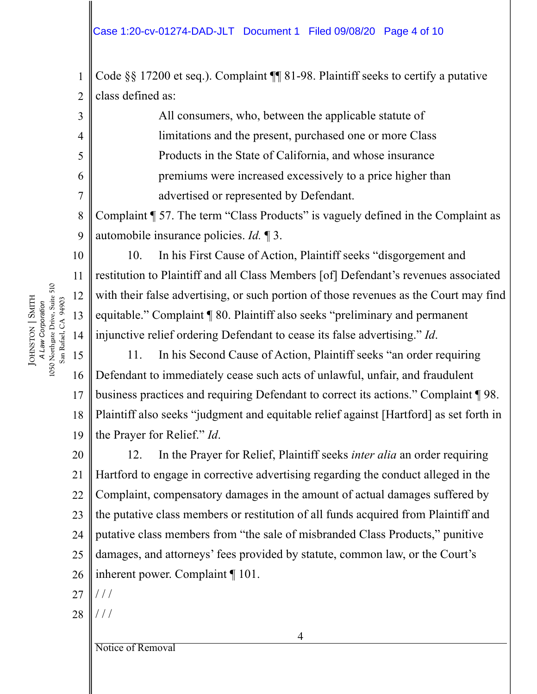1 2 Code §§ 17200 et seq.). Complaint ¶¶ 81-98. Plaintiff seeks to certify a putative class defined as:

> All consumers, who, between the applicable statute of limitations and the present, purchased one or more Class Products in the State of California, and whose insurance premiums were increased excessively to a price higher than advertised or represented by Defendant.

8 9 Complaint ¶ 57. The term "Class Products" is vaguely defined in the Complaint as automobile insurance policies. *Id.* ¶ 3.

10. In his First Cause of Action, Plaintiff seeks "disgorgement and restitution to Plaintiff and all Class Members [of] Defendant's revenues associated with their false advertising, or such portion of those revenues as the Court may find equitable." Complaint ¶ 80. Plaintiff also seeks "preliminary and permanent injunctive relief ordering Defendant to cease its false advertising." *Id*.

15 16 17 18 19 11. In his Second Cause of Action, Plaintiff seeks "an order requiring Defendant to immediately cease such acts of unlawful, unfair, and fraudulent business practices and requiring Defendant to correct its actions." Complaint ¶ 98. Plaintiff also seeks "judgment and equitable relief against [Hartford] as set forth in the Prayer for Relief." *Id*.

20 21 22 23 24 25 26 12. In the Prayer for Relief, Plaintiff seeks *inter alia* an order requiring Hartford to engage in corrective advertising regarding the conduct alleged in the Complaint, compensatory damages in the amount of actual damages suffered by the putative class members or restitution of all funds acquired from Plaintiff and putative class members from "the sale of misbranded Class Products," punitive damages, and attorneys' fees provided by statute, common law, or the Court's inherent power. Complaint ¶ 101.

4

- 27  $//$
- 28  $//$

Notice of Removal

A Law Corporation<br>1050 Northgate Drive, Suite 510 1050 Northgate Drive, Suite 510 **SMITH** JOHNSTON | SMITH San Rafael, CA 94903 San Rafael, CA 94903 *A Law Corporation*

3

4

5

6

7

10

11

12

13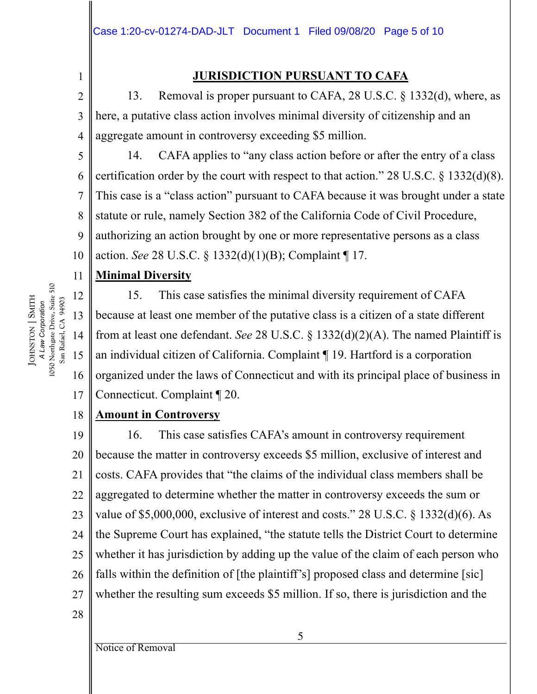## **JURISDICTION PURSUANT TO CAFA**

2 3 13. Removal is proper pursuant to CAFA, 28 U.S.C. § 1332(d), where, as here, a putative class action involves minimal diversity of citizenship and an aggregate amount in controversy exceeding \$5 million.

5 6 7 8 9 10 14. CAFA applies to "any class action before or after the entry of a class certification order by the court with respect to that action." 28 U.S.C. § 1332(d)(8). This case is a "class action" pursuant to CAFA because it was brought under a state statute or rule, namely Section 382 of the California Code of Civil Procedure, authorizing an action brought by one or more representative persons as a class action. *See* 28 U.S.C. § 1332(d)(1)(B); Complaint ¶ 17.

#### 11 **Minimal Diversity**

15. This case satisfies the minimal diversity requirement of CAFA because at least one member of the putative class is a citizen of a state different from at least one defendant. *See* 28 U.S.C. § 1332(d)(2)(A). The named Plaintiff is an individual citizen of California. Complaint ¶ 19. Hartford is a corporation organized under the laws of Connecticut and with its principal place of business in Connecticut. Complaint ¶ 20.

#### 18 **Amount in Controversy**

19 20 21 22 23 24 25 26 27 16. This case satisfies CAFA's amount in controversy requirement because the matter in controversy exceeds \$5 million, exclusive of interest and costs. CAFA provides that "the claims of the individual class members shall be aggregated to determine whether the matter in controversy exceeds the sum or value of \$5,000,000, exclusive of interest and costs." 28 U.S.C. § 1332(d)(6). As the Supreme Court has explained, "the statute tells the District Court to determine whether it has jurisdiction by adding up the value of the claim of each person who falls within the definition of [the plaintiff's] proposed class and determine [sic] whether the resulting sum exceeds \$5 million. If so, there is jurisdiction and the

28

A Law Corporation<br>1050 Northgate Drive, Suite 510 1050 Northgate Drive, Suite 510 12 **SMITH** JOHNSTON | SMITH San Rafael, CA 94903 San Rafael, CA 94903 *A Law Corporation* 13 14 15

16

17

1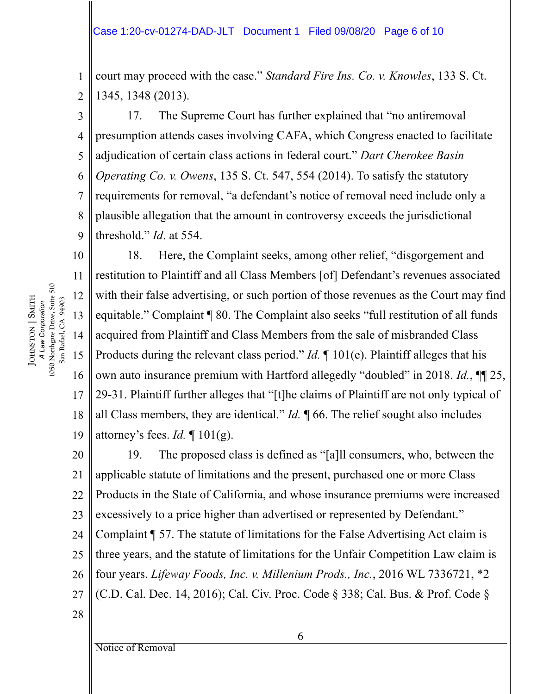1 2 court may proceed with the case." *Standard Fire Ins. Co. v. Knowles*, 133 S. Ct. 1345, 1348 (2013).

3 4 5 6 7 8 9 17. The Supreme Court has further explained that "no antiremoval presumption attends cases involving CAFA, which Congress enacted to facilitate adjudication of certain class actions in federal court." *Dart Cherokee Basin Operating Co. v. Owens*, 135 S. Ct. 547, 554 (2014). To satisfy the statutory requirements for removal, "a defendant's notice of removal need include only a plausible allegation that the amount in controversy exceeds the jurisdictional threshold." *Id*. at 554.

10 11 12 13 14 15 16 17 18 19 18. Here, the Complaint seeks, among other relief, "disgorgement and restitution to Plaintiff and all Class Members [of] Defendant's revenues associated with their false advertising, or such portion of those revenues as the Court may find equitable." Complaint ¶ 80. The Complaint also seeks "full restitution of all funds acquired from Plaintiff and Class Members from the sale of misbranded Class Products during the relevant class period." *Id.* ¶ 101(e). Plaintiff alleges that his own auto insurance premium with Hartford allegedly "doubled" in 2018. *Id.*, ¶¶ 25, 29-31. Plaintiff further alleges that "[t]he claims of Plaintiff are not only typical of all Class members, they are identical." *Id.* ¶ 66. The relief sought also includes attorney's fees. *Id.* ¶ 101(g).

20 21 22 23 24 25 26 27 19. The proposed class is defined as "[a]ll consumers, who, between the applicable statute of limitations and the present, purchased one or more Class Products in the State of California, and whose insurance premiums were increased excessively to a price higher than advertised or represented by Defendant." Complaint ¶ 57. The statute of limitations for the False Advertising Act claim is three years, and the statute of limitations for the Unfair Competition Law claim is four years. *Lifeway Foods, Inc. v. Millenium Prods., Inc.*, 2016 WL 7336721, \*2 (C.D. Cal. Dec. 14, 2016); Cal. Civ. Proc. Code § 338; Cal. Bus. & Prof. Code §

A Law Corporation<br>1050 Northgate Drive, Suite 510 1050 Northgate Drive, Suite 510 **SMITH** JOHNSTON | SMITH San Rafael, CA 94903 San Rafael, CA 94903 *A Law Corporation*

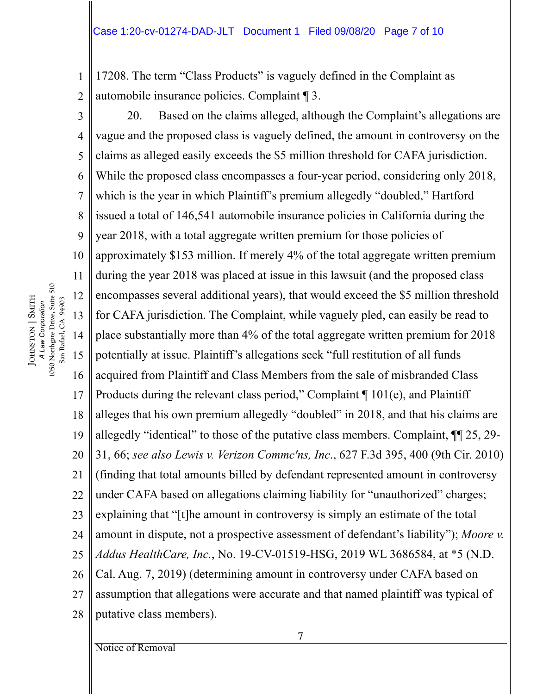1 2 17208. The term "Class Products" is vaguely defined in the Complaint as automobile insurance policies. Complaint ¶ 3.

3 4 5 6 7 8 9 10 11 12 13 14 15 16 17 18 19 20 21 22 23 24 25 26 27 28 20. Based on the claims alleged, although the Complaint's allegations are vague and the proposed class is vaguely defined, the amount in controversy on the claims as alleged easily exceeds the \$5 million threshold for CAFA jurisdiction. While the proposed class encompasses a four-year period, considering only 2018, which is the year in which Plaintiff's premium allegedly "doubled," Hartford issued a total of 146,541 automobile insurance policies in California during the year 2018, with a total aggregate written premium for those policies of approximately \$153 million. If merely 4% of the total aggregate written premium during the year 2018 was placed at issue in this lawsuit (and the proposed class encompasses several additional years), that would exceed the \$5 million threshold for CAFA jurisdiction. The Complaint, while vaguely pled, can easily be read to place substantially more than 4% of the total aggregate written premium for 2018 potentially at issue. Plaintiff's allegations seek "full restitution of all funds acquired from Plaintiff and Class Members from the sale of misbranded Class Products during the relevant class period," Complaint ¶ 101(e), and Plaintiff alleges that his own premium allegedly "doubled" in 2018, and that his claims are allegedly "identical" to those of the putative class members. Complaint, ¶¶ 25, 29- 31, 66; *see also Lewis v. Verizon Commc'ns, Inc*., 627 F.3d 395, 400 (9th Cir. 2010) (finding that total amounts billed by defendant represented amount in controversy under CAFA based on allegations claiming liability for "unauthorized" charges; explaining that "[t]he amount in controversy is simply an estimate of the total amount in dispute, not a prospective assessment of defendant's liability"); *Moore v. Addus HealthCare, Inc.*, No. 19-CV-01519-HSG, 2019 WL 3686584, at \*5 (N.D. Cal. Aug. 7, 2019) (determining amount in controversy under CAFA based on assumption that allegations were accurate and that named plaintiff was typical of putative class members).

A Law Corporation<br>1050 Northgate Drive, Suite 510 1050 Northgate Drive, Suite 510 **SMITH** JOHNSTON | SMITH San Rafael, CA 94903 San Rafael, CA 94903 *A Law Corporation*

Notice of Removal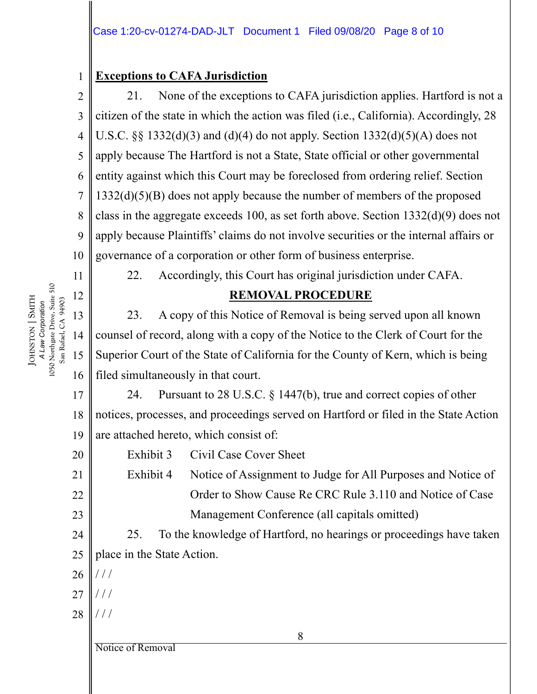### 1 **Exceptions to CAFA Jurisdiction**

2 3 4 5 6 7 8 9 10 21. None of the exceptions to CAFA jurisdiction applies. Hartford is not a citizen of the state in which the action was filed (i.e., California). Accordingly, 28 U.S.C.  $\S$  1332(d)(3) and (d)(4) do not apply. Section 1332(d)(5)(A) does not apply because The Hartford is not a State, State official or other governmental entity against which this Court may be foreclosed from ordering relief. Section 1332(d)(5)(B) does not apply because the number of members of the proposed class in the aggregate exceeds 100, as set forth above. Section 1332(d)(9) does not apply because Plaintiffs' claims do not involve securities or the internal affairs or governance of a corporation or other form of business enterprise.



11

12

13

14

15

16

20

21

22

23

24

**SMITH** JOHNSTON | SMITH San Rafael, CA 94903 San Rafael, CA 94903 *A Law Corporation*

22. Accordingly, this Court has original jurisdiction under CAFA.

# **REMOVAL PROCEDURE**

23. A copy of this Notice of Removal is being served upon all known counsel of record, along with a copy of the Notice to the Clerk of Court for the Superior Court of the State of California for the County of Kern, which is being filed simultaneously in that court.

17 18 19 24. Pursuant to 28 U.S.C. § 1447(b), true and correct copies of other notices, processes, and proceedings served on Hartford or filed in the State Action are attached hereto, which consist of:

Exhibit 3 Civil Case Cover Sheet

Exhibit 4 Notice of Assignment to Judge for All Purposes and Notice of Order to Show Cause Re CRC Rule 3.110 and Notice of Case Management Conference (all capitals omitted)

25. To the knowledge of Hartford, no hearings or proceedings have taken place in the State Action.

- 25 26  $//$
- 27 / / /
- 28 / / /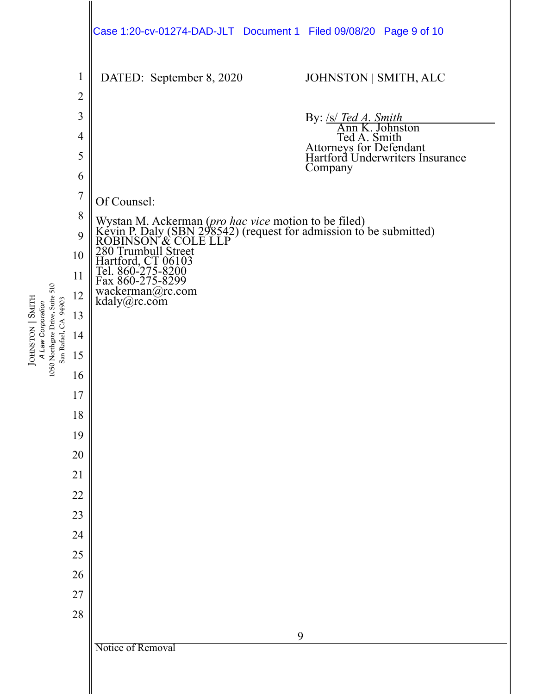